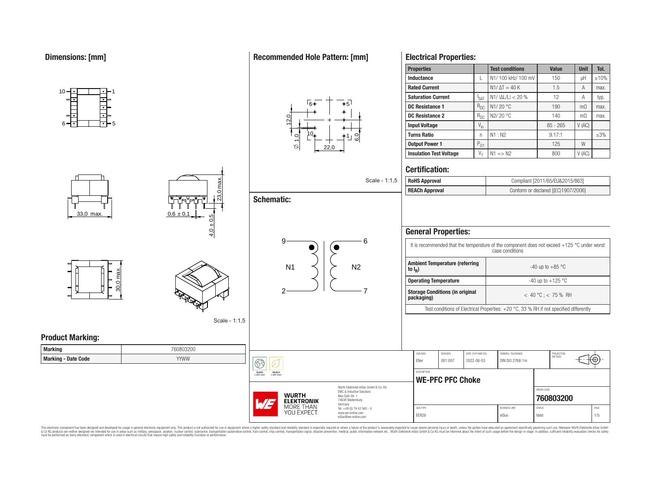10

# **Recommended Hole Pattern: [mm]**

23,0 max.

 $4,0 \pm 0,$ 

Scale - 1:1,5

 $0.6 \pm 0.1$ 



| <b>Properties</b>              |                  | <b>Test conditions</b>  | <b>Value</b> | <b>Unit</b>    | Tol.      |
|--------------------------------|------------------|-------------------------|--------------|----------------|-----------|
| Inductance                     |                  | N1/100 kHz/100 mV       | 150          | uН             | $+10%$    |
| <b>Rated Current</b>           |                  | $N1/\Delta T = 40 K$    | 1.5          | A              | max.      |
| <b>Saturation Current</b>      | <sup>I</sup> SAT | $N1/ \Delta L/L  < 20%$ | 12           | Α              | typ.      |
| <b>DC Resistance 1</b>         | $R_{DC}$         | N <sub>1</sub> /20 °C   | 190          | m <sub>0</sub> | max.      |
| <b>DC Resistance 2</b>         | $R_{DC}$         | N2/20 °C                | 140          | m <sub>0</sub> | max.      |
| <b>Input Voltage</b>           | $V_{\text{in}}$  |                         | $85 - 265$   | V(AC)          |           |
| <b>Turns Ratio</b>             | n                | N1: N2                  | 9.17:1       |                | $\pm 3\%$ |
| <b>Output Power 1</b>          | $P_{01}$         |                         | 125          | W              |           |
| <b>Insulation Test Voltage</b> | $V_T$            | $N1 \implies N2$        | 800          | V(AC)          |           |

#### **Certification:**

**Electrical Properties:**

| case conditions<br><b>Ambient Temperature (referring</b><br>-40 up to $+85$ °C<br>to $I_{\rm p}$ )<br><b>Operating Temperature</b> |                       |  |  |  |  |  |  |
|------------------------------------------------------------------------------------------------------------------------------------|-----------------------|--|--|--|--|--|--|
|                                                                                                                                    |                       |  |  |  |  |  |  |
|                                                                                                                                    |                       |  |  |  |  |  |  |
|                                                                                                                                    | -40 up to $+125$ °C   |  |  |  |  |  |  |
| <b>Storage Conditions (in original</b><br>packaging)                                                                               | $<$ 40 °C : < 75 % RH |  |  |  |  |  |  |
| Test conditions of Electrical Properties: $+20$ °C, 33 % RH if not specified differently                                           |                       |  |  |  |  |  |  |
|                                                                                                                                    |                       |  |  |  |  |  |  |

SIZE/TYPE BUSINESS UNIT STATUS PAGE EER28 eiSos Valid 1/5

ORDER CODE **[760803200](https://www.we-online.com/catalog/en/article/760803200)**

6

Scale -

**Product Marking:**

33,0 max.

6<del>-[</del>1 | | | | | <del>| |</del> 5

1

| <b>Marking</b>             | 760803200 |
|----------------------------|-----------|
| <b>Marking - Date Code</b> | YYWW      |

30,0 max.

|  | WURTH<br><b>ELEKTRONIK</b><br>MORE THAN<br>YOU FXPFCT |
|--|-------------------------------------------------------|
|--|-------------------------------------------------------|

REACH

 $\boxed{\textcircled{f}}$ RoHS<br>COMPLIANT

> Würth Elektronik eiSos GmbH & Co. KG EMC & Inductive Solutions Max-Eyth-Str. 1 74638 Waldenburg Germany Tel. +49 (0) 79 42 945 - 0 www.we-online.com eiSos@we-online.com

### This electronic component has been designed and developed for usage in general electronic equipment only. This product is not authorized for subserved requipment where a higher selection equipment where a higher selection

**Schematic:**

## 9 N1  $\lt$   $\gt$  N2

2  $-$  7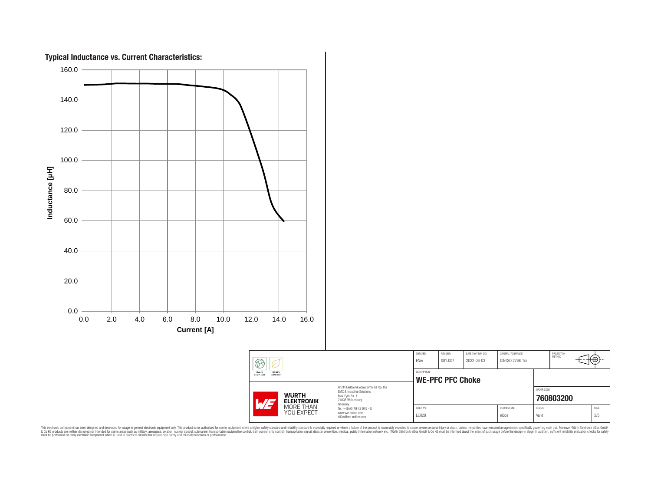

This electronic component has been designed and developed for usage in general electronic equipment only. This product is not authorized for subserved requipment where a higher selection equipment where a higher selection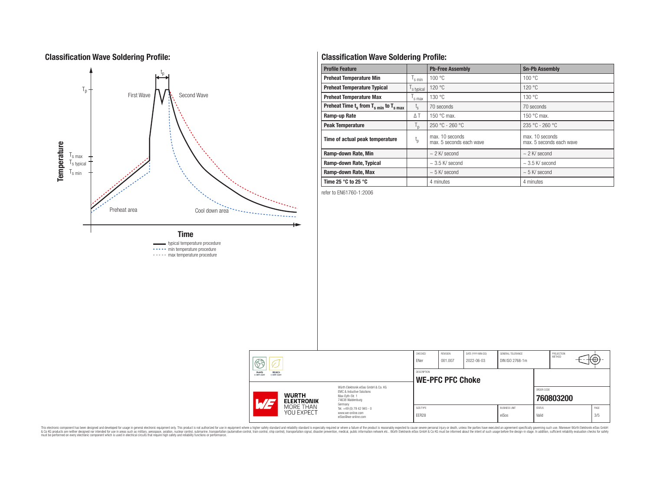#### **Classification Wave Soldering Profile:**



----- min temperature procedure

----- max temperature procedure

#### **Classification Wave Soldering Profile:**

| <b>Profile Feature</b>                             |                  | <b>Pb-Free Assembly</b>                     | <b>Sn-Pb Assembly</b>                       |
|----------------------------------------------------|------------------|---------------------------------------------|---------------------------------------------|
| <b>Preheat Temperature Min</b>                     | s min            | 100 °C                                      | 100 °C                                      |
| <b>Preheat Temperature Typical</b>                 | s typical        | 120 °C                                      | 120 °C                                      |
| <b>Preheat Temperature Max</b>                     | s max            | 130 °C                                      | 130 °C                                      |
| Preheat Time $t_s$ from $T_{s,min}$ to $T_{s,max}$ | $t_{\rm s}$      | 70 seconds                                  | 70 seconds                                  |
| Ramp-up Rate                                       | $\Delta T$       | 150 $\degree$ C max.                        | 150 $\degree$ C max.                        |
| <b>Peak Temperature</b>                            | $T_{\mathsf{D}}$ | $250 °C - 260 °C$                           | $235 °C - 260 °C$                           |
| Time of actual peak temperature                    | $t_{p}$          | max. 10 seconds<br>max. 5 seconds each wave | max. 10 seconds<br>max. 5 seconds each wave |
| Ramp-down Rate, Min                                |                  | $\sim$ 2 K/ second                          | $\sim$ 2 K/ second                          |
| Ramp-down Rate, Typical                            |                  | $\sim$ 3.5 K/ second                        | $\sim$ 3.5 K/ second                        |
| Ramp-down Rate, Max                                |                  | $\sim$ 5 K/ second                          | $\sim$ 5 K/ second                          |
| Time 25 $^{\circ}$ C to 25 $^{\circ}$ C            |                  | 4 minutes                                   | 4 minutes                                   |

refer to EN61760-1:2006

| 63                                                                                                   |  |                                                                             | CHECKED<br>ENer    | REVISION<br>001.007 | DATE (YYYY-MM-DD)<br>2022-06-03 | <b>GENERAL TOLERANCE</b><br>DIN ISO 2768-1m |                        | PROJECTION<br><b>METHOD</b> | ₩           |
|------------------------------------------------------------------------------------------------------|--|-----------------------------------------------------------------------------|--------------------|---------------------|---------------------------------|---------------------------------------------|------------------------|-----------------------------|-------------|
| REACh<br><b>RoHS</b><br><b>COMPLIANT</b><br><b>COMPLIANT</b><br>Würth Elektronik eiSos GmbH & Co. KG |  | DESCRIPTION<br><b>WE-PFC PFC Choke</b>                                      |                    |                     |                                 |                                             |                        |                             |             |
| <b>WURTH</b><br><b>ELEKTRONIK</b><br>$H/I-$                                                          |  | FMC & Inductive Solutions<br>Max-Eyth-Str. 1<br>74638 Waldenburg<br>Germany |                    |                     |                                 |                                             | ORDER CODE             | 760803200                   |             |
| MORE THAN<br>YOU EXPECT                                                                              |  | Tel. +49 (0) 79 42 945 - 0<br>www.we-online.com<br>eiSos@we-online.com      | SIZE/TYPE<br>EER28 |                     |                                 | <b>BUSINESS UNIT</b><br>eiSos               | <b>STATUS</b><br>Valid |                             | PAGE<br>3/5 |

This electronic component has been designed and developed for usage in general electronic equipment only. This product is not authorized for subserved requipment where a higher selection equipment where a higher selection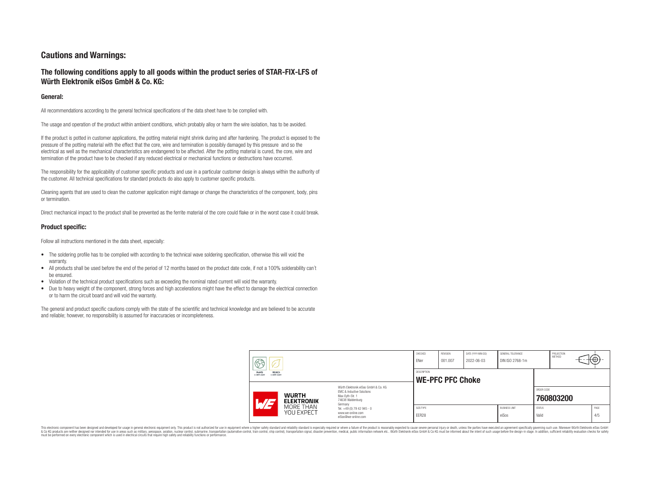#### **Cautions and Warnings:**

#### **The following conditions apply to all goods within the product series of STAR-FIX-LFS of Würth Elektronik eiSos GmbH & Co. KG:**

#### **General:**

All recommendations according to the general technical specifications of the data sheet have to be complied with.

The usage and operation of the product within ambient conditions, which probably alloy or harm the wire isolation, has to be avoided.

If the product is potted in customer applications, the potting material might shrink during and after hardening. The product is exposed to the pressure of the potting material with the effect that the core, wire and termination is possibly damaged by this pressure and so the electrical as well as the mechanical characteristics are endangered to be affected. After the potting material is cured, the core, wire and termination of the product have to be checked if any reduced electrical or mechanical functions or destructions have occurred.

The responsibility for the applicability of customer specific products and use in a particular customer design is always within the authority of the customer. All technical specifications for standard products do also apply to customer specific products.

Cleaning agents that are used to clean the customer application might damage or change the characteristics of the component, body, pins or termination.

Direct mechanical impact to the product shall be prevented as the ferrite material of the core could flake or in the worst case it could break.

#### **Product specific:**

Follow all instructions mentioned in the data sheet, especially:

- The soldering profile has to be complied with according to the technical wave soldering specification, otherwise this will void the warranty.
- All products shall be used before the end of the period of 12 months based on the product date code, if not a 100% solderability can't be ensured.
- Violation of the technical product specifications such as exceeding the nominal rated current will void the warranty.
- Due to heavy weight of the component, strong forces and high accelerations might have the effect to damage the electrical connection or to harm the circuit board and will void the warranty.

The general and product specific cautions comply with the state of the scientific and technical knowledge and are believed to be accurate and reliable; however, no responsibility is assumed for inaccuracies or incompleteness.

| حک<br>v                                        |                                                                                                                     | CHECKED<br>ENer                               | REVISION<br>001.007 | DATE (YYYY-MM-DD)<br>2022-06-03 | GENERAL TOLERANCE<br>DIN ISO 2768-1m |                        | PROJECTION<br>METHOD |             |
|------------------------------------------------|---------------------------------------------------------------------------------------------------------------------|-----------------------------------------------|---------------------|---------------------------------|--------------------------------------|------------------------|----------------------|-------------|
| RoHS<br>REACh<br><b>COMPLIANT</b><br>COMPLIANT |                                                                                                                     | <b>DESCRIPTION</b><br><b>WE-PFC PFC Choke</b> |                     |                                 |                                      |                        |                      |             |
| <b>WURTH</b><br>ATJ<br><b>ELEKTRONIK</b>       | Würth Elektronik eiSos GmbH & Co. KG<br>EMC & Inductive Solutions<br>Max-Evth-Str. 1<br>74638 Waldenburg<br>Germany |                                               |                     |                                 |                                      | ORDER CODE             | 760803200            |             |
| MORE THAN<br>YOU EXPECT                        | Tel. +49 (0) 79 42 945 - 0<br>www.we-online.com<br>eiSos@we-online.com                                              | SIZE/TYPE<br>EER28                            |                     |                                 | <b>BUSINESS UNIT</b><br>eiSos        | <b>STATUS</b><br>Valid |                      | PAGE<br>4/5 |

This electronic component has been designed and developed for usage in general electronic equipment only. This product is not authorized for use in equipment where a higher safety standard and reliability standard is espec & Ook product a label and the membed of the seasuch as marked and as which such a membed and the such assume that income in the seasuch and the simulation and the such assume that include to the such a membed and the such